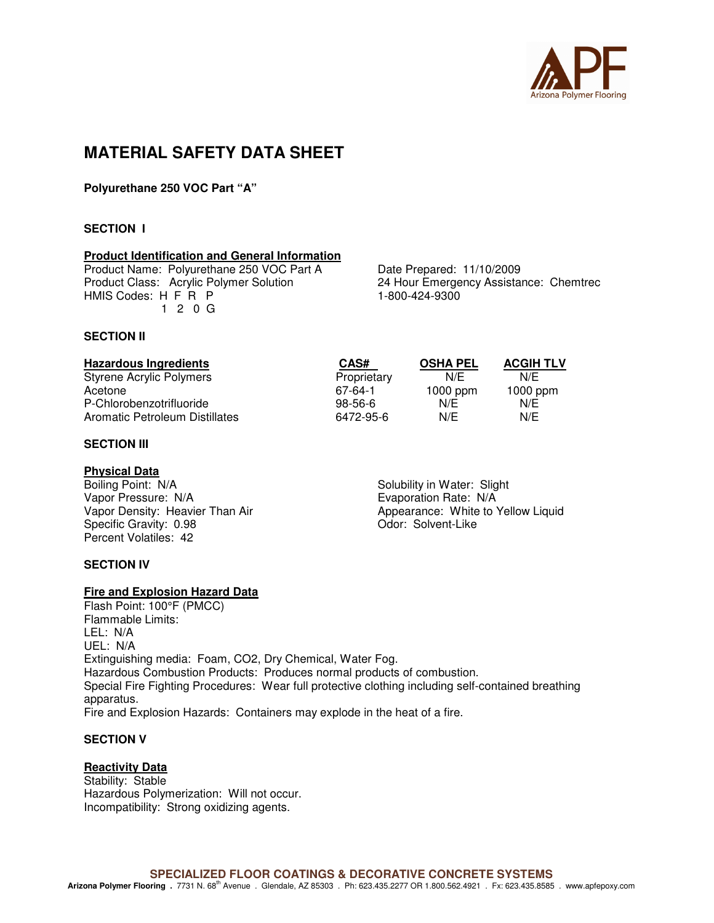

### **MATERIAL SAFETY DATA SHEET**

**Polyurethane 250 VOC Part "A"** 

### **SECTION I**

### **Product Identification and General Information**

Product Name: Polyurethane 250 VOC Part A Date Prepared: 11/10/2009<br>Product Class: Acrylic Polymer Solution 24 Hour Emergency Assistal HMIS Codes: H F R P 1-800-424-9300 1 2 0 G

24 Hour Emergency Assistance: Chemtrec

### **SECTION II**

| <b>Hazardous Ingredients</b>   | CAS#          | <b>OSHA PEL</b> | <b>ACGIH TLV</b> |
|--------------------------------|---------------|-----------------|------------------|
| Styrene Acrylic Polymers       | Proprietary   | N/F             | N/E              |
| Acetone                        | 67-64-1       | $1000$ ppm      | $1000$ ppm       |
| P-Chlorobenzotrifluoride       | $98 - 56 - 6$ | N/E             | N/E              |
| Aromatic Petroleum Distillates | 6472-95-6     | N/E             | N/E              |

### **SECTION III**

**Physical Data**<br>Boiling Point: N/A Boiling Point: N/A Solubility in Water: Slight<br>
Vapor Pressure: N/A Solubility in Water: Slight<br>
Evaporation Rate: N/A Vapor Pressure: N/A<br>
Vapor Density: Heavier Than Air **Example 2008** Evaporation Rate: N/A<br>
Appearance: White to Specific Gravity: 0.98 Contract Contract Contract Contract Contract Contract Contract Contract Contract Contract Contract Contract Contract Contract Contract Contract Contract Contract Contract Contract Contract Contract C Percent Volatiles: 42

# Appearance: White to Yellow Liquid

### **SECTION IV**

### **Fire and Explosion Hazard Data**

Flash Point: 100°F (PMCC) Flammable Limits: LEL: N/A UEL: N/A Extinguishing media: Foam, CO2, Dry Chemical, Water Fog. Hazardous Combustion Products: Produces normal products of combustion. Special Fire Fighting Procedures: Wear full protective clothing including self-contained breathing apparatus. Fire and Explosion Hazards: Containers may explode in the heat of a fire.

### **SECTION V**

### **Reactivity Data**

Stability: Stable Hazardous Polymerization: Will not occur. Incompatibility: Strong oxidizing agents.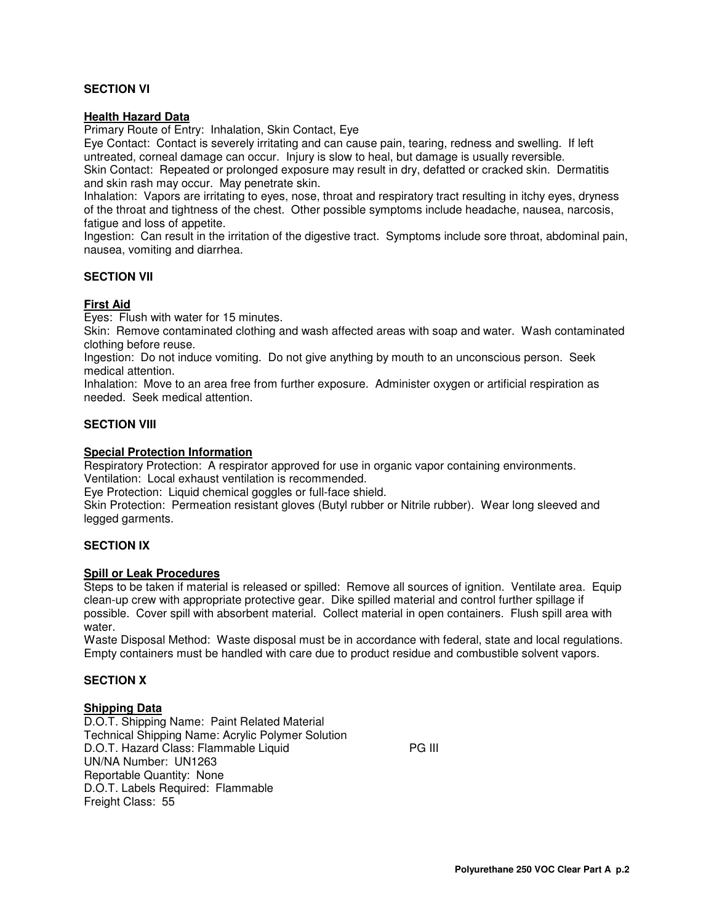### **SECTION VI**

### **Health Hazard Data**

Primary Route of Entry: Inhalation, Skin Contact, Eye

Eye Contact: Contact is severely irritating and can cause pain, tearing, redness and swelling. If left untreated, corneal damage can occur. Injury is slow to heal, but damage is usually reversible.

Skin Contact: Repeated or prolonged exposure may result in dry, defatted or cracked skin. Dermatitis and skin rash may occur. May penetrate skin.

Inhalation: Vapors are irritating to eyes, nose, throat and respiratory tract resulting in itchy eyes, dryness of the throat and tightness of the chest. Other possible symptoms include headache, nausea, narcosis, fatigue and loss of appetite.

Ingestion: Can result in the irritation of the digestive tract. Symptoms include sore throat, abdominal pain, nausea, vomiting and diarrhea.

### **SECTION VII**

### **First Aid**

Eyes: Flush with water for 15 minutes.

Skin: Remove contaminated clothing and wash affected areas with soap and water. Wash contaminated clothing before reuse.

Ingestion: Do not induce vomiting. Do not give anything by mouth to an unconscious person. Seek medical attention.

Inhalation: Move to an area free from further exposure. Administer oxygen or artificial respiration as needed. Seek medical attention.

### **SECTION VIII**

### **Special Protection Information**

Respiratory Protection: A respirator approved for use in organic vapor containing environments. Ventilation: Local exhaust ventilation is recommended.

Eye Protection: Liquid chemical goggles or full-face shield.

Skin Protection: Permeation resistant gloves (Butyl rubber or Nitrile rubber). Wear long sleeved and legged garments.

### **SECTION IX**

### **Spill or Leak Procedures**

Steps to be taken if material is released or spilled: Remove all sources of ignition. Ventilate area. Equip clean-up crew with appropriate protective gear. Dike spilled material and control further spillage if possible. Cover spill with absorbent material. Collect material in open containers. Flush spill area with water.

Waste Disposal Method: Waste disposal must be in accordance with federal, state and local regulations. Empty containers must be handled with care due to product residue and combustible solvent vapors.

### **SECTION X**

### **Shipping Data**

D.O.T. Shipping Name: Paint Related Material Technical Shipping Name: Acrylic Polymer Solution D.O.T. Hazard Class: Flammable Liquid PG III UN/NA Number: UN1263 Reportable Quantity: None D.O.T. Labels Required: Flammable Freight Class: 55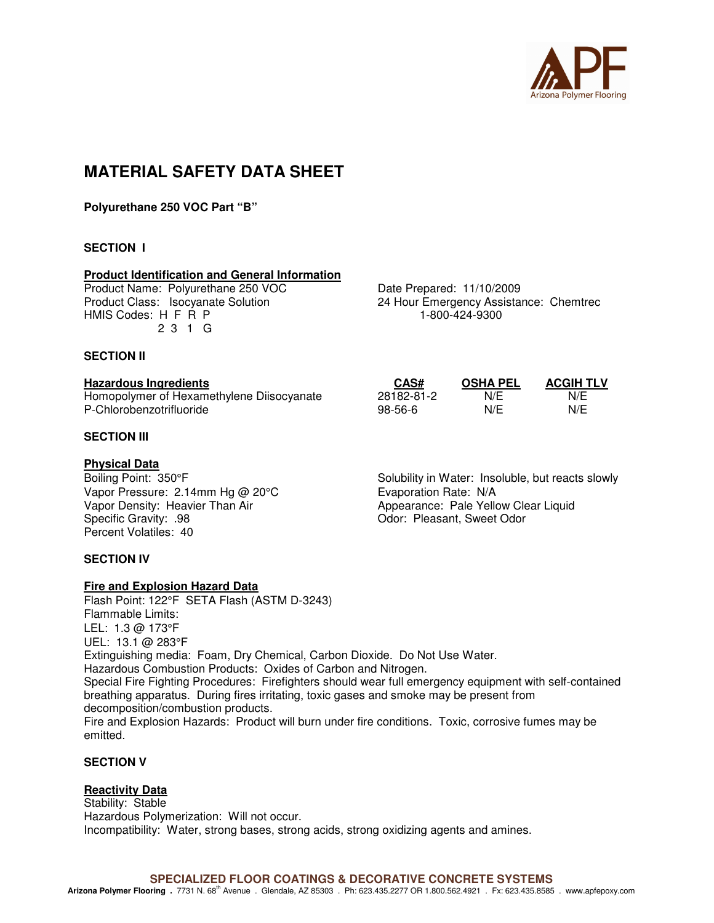

## **MATERIAL SAFETY DATA SHEET**

**Polyurethane 250 VOC Part "B"** 

### **SECTION I**

### **Product Identification and General Information**

Product Name: Polyurethane 250 VOC Date Prepared: 11/10/2009 HMIS Codes: H F R P 1-800-424-9300 2 3 1 G

Product Class: Isocyanate Solution 24 Hour Emergency Assistance: Chemtrec

### **SECTION II**

### **Hazardous Ingredients CAS# OSHA PEL ACGIH TLV**

Homopolymer of Hexamethylene Diisocyanate 28182-81-2 N/E N/E P-Chlorobenzotrifluoride

### **SECTION III**

### **Physical Data**

Vapor Pressure: 2.14mm Hg @ 20°C<br>
Vapor Density: Heavier Than Air Many Appearance: Pale Yello Percent Volatiles: 40

### **SECTION IV**

### **Fire and Explosion Hazard Data**

Flash Point: 122°F SETA Flash (ASTM D-3243) Flammable Limits: LEL: 1.3 @ 173°F UEL: 13.1 @ 283°F Extinguishing media: Foam, Dry Chemical, Carbon Dioxide. Do Not Use Water. Hazardous Combustion Products: Oxides of Carbon and Nitrogen. Special Fire Fighting Procedures: Firefighters should wear full emergency equipment with self-contained breathing apparatus. During fires irritating, toxic gases and smoke may be present from decomposition/combustion products. Fire and Explosion Hazards: Product will burn under fire conditions. Toxic, corrosive fumes may be emitted.

### **SECTION V**

### **Reactivity Data**

Stability: Stable Hazardous Polymerization: Will not occur. Incompatibility: Water, strong bases, strong acids, strong oxidizing agents and amines.

Boiling Point: 350°F Solubility in Water: Insoluble, but reacts slowly Vapor Density: Heavier Than Air Appearance: Pale Yellow Clear Liquid Odor: Pleasant, Sweet Odor